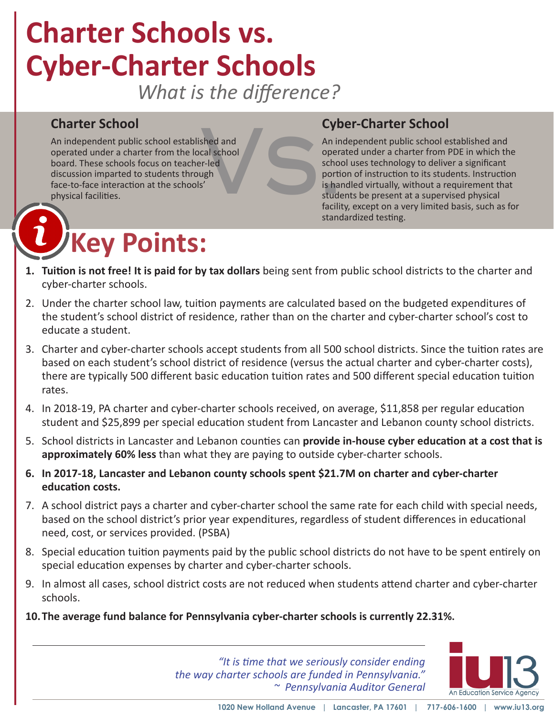# **Charter Schools vs. Cyber-Charter Schools**

*What is the difference?*

**Cyb**<br>
An independent public school established and<br>
operated under a charter from the local school<br>
board. These schools focus on teacher-led<br>
discussion imparted to students through<br>
face-to-face interaction at the schoo An independent public school established and operated under a charter from the local school board. These schools focus on teacher-led discussion imparted to students through face-to-face interaction at the schools' physical facilities.

# **Key Points:**

# **Cyber-Charter School**

An independent public school established and operated under a charter from PDE in which the school uses technology to deliver a significant portion of instruction to its students. Instruction is handled virtually, without a requirement that students be present at a supervised physical facility, except on a very limited basis, such as for standardized testing.

- **1. Tuition is not free! It is paid for by tax dollars** being sent from public school districts to the charter and cyber-charter schools.
- 2. Under the charter school law, tuition payments are calculated based on the budgeted expenditures of the student's school district of residence, rather than on the charter and cyber-charter school's cost to educate a student.
- 3. Charter and cyber-charter schools accept students from all 500 school districts. Since the tuition rates are based on each student's school district of residence (versus the actual charter and cyber-charter costs), there are typically 500 different basic education tuition rates and 500 different special education tuition rates.
- 4. In 2018-19, PA charter and cyber-charter schools received, on average, \$11,858 per regular education student and \$25,899 per special education student from Lancaster and Lebanon county school districts.
- 5. School districts in Lancaster and Lebanon counties can **provide in-house cyber education at a cost that is approximately 60% less** than what they are paying to outside cyber-charter schools.
- **6. In 2017-18, Lancaster and Lebanon county schools spent \$21.7M on charter and cyber-charter education costs.**
- 7. A school district pays a charter and cyber-charter school the same rate for each child with special needs, based on the school district's prior year expenditures, regardless of student differences in educational need, cost, or services provided. (PSBA)
- 8. Special education tuition payments paid by the public school districts do not have to be spent entirely on special education expenses by charter and cyber-charter schools.
- 9. In almost all cases, school district costs are not reduced when students attend charter and cyber-charter schools.
- **10.The average fund balance for Pennsylvania cyber-charter schools is currently 22.31%.**